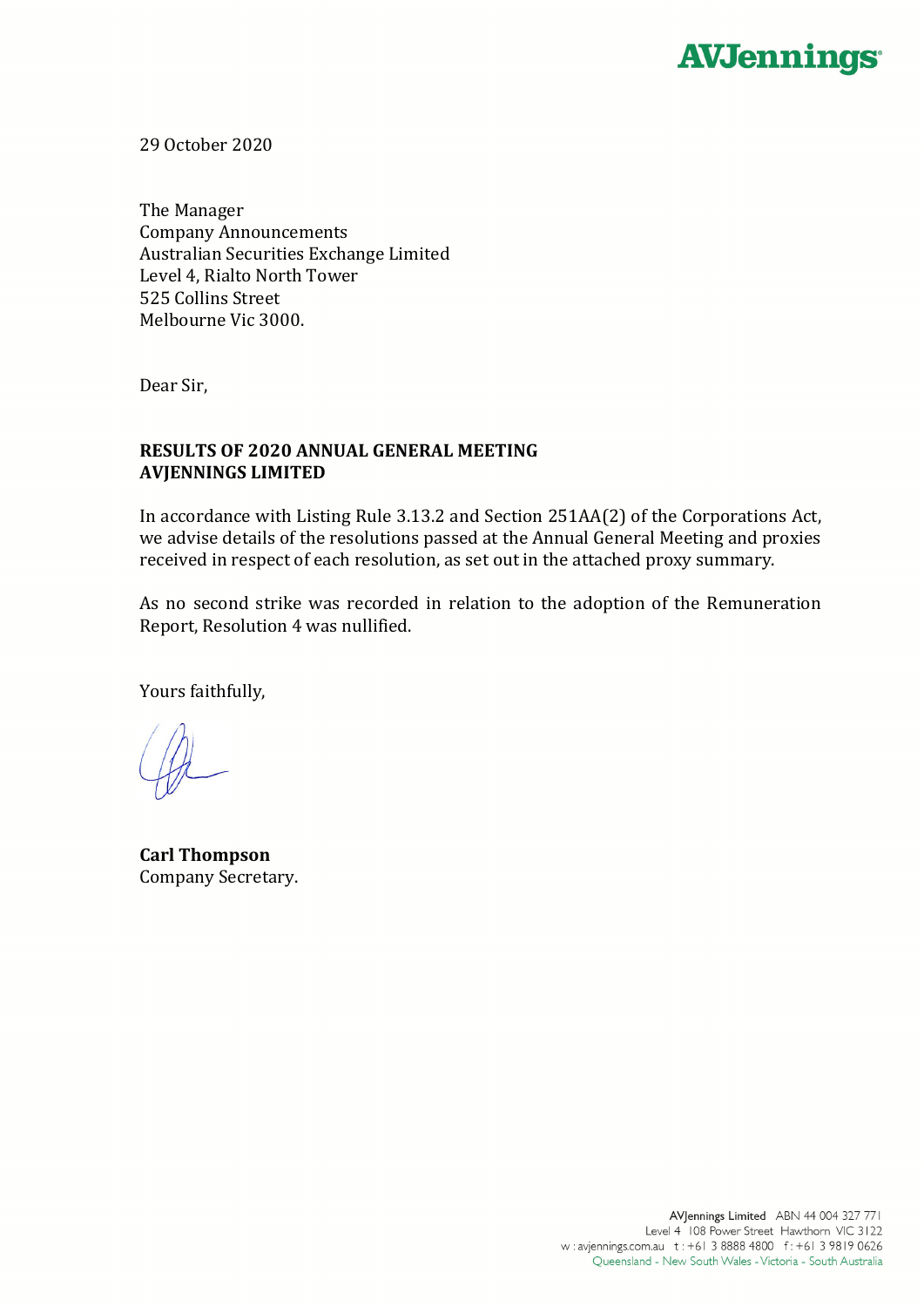

29 October 2020

The Manager Company Announcements Australian Securities Exchange Limited Level 4, Rialto North Tower 525 Collins Street Melbourne Vic 3000.

Dear Sir,

## **RESULTS OF 2020 ANNUAL GENERAL MEETING AVJENNINGS LIMITED**

In accordance with Listing Rule 3.13.2 and Section 251AA(2) of the Corporations Act, we advise details of the resolutions passed at the Annual General Meeting and proxies received in respect of each resolution, as set out in the attached proxy summary.

As no second strike was recorded in relation to the adoption of the Remuneration Report, Resolution 4 was nullified.

Yours faithfully,

**Carl Thompson** Company Secretary.